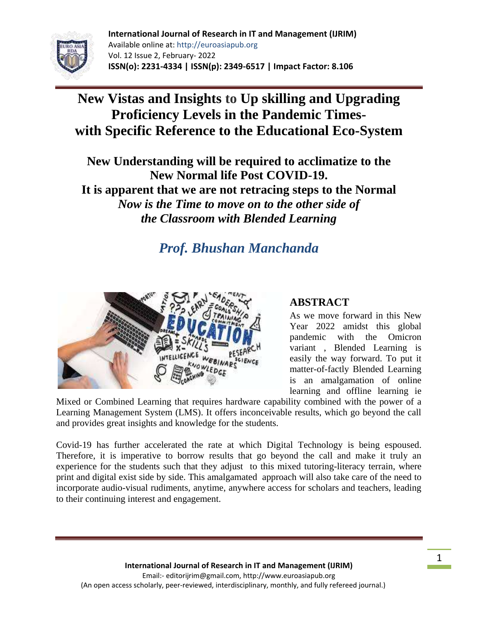

# **New Vistas and Insights to Up skilling and Upgrading Proficiency Levels in the Pandemic Timeswith Specific Reference to the Educational Eco-System**

**New Understanding will be required to acclimatize to the New Normal life Post COVID-19. It is apparent that we are not retracing steps to the Normal** *Now is the Time to move on to the other side of the Classroom with Blended Learning*

# *Prof. Bhushan Manchanda*



# **ABSTRACT**

As we move forward in this New Year 2022 amidst this global pandemic with the Omicron variant , Blended Learning is easily the way forward. To put it matter-of-factly Blended Learning is an amalgamation of online learning and offline learning ie

Mixed or Combined Learning that requires hardware capability combined with the power of a Learning Management System (LMS). It offers inconceivable results, which go beyond the call and provides great insights and knowledge for the students.

Covid-19 has further accelerated the rate at which Digital Technology is being espoused. Therefore, it is imperative to borrow results that go beyond the call and make it truly an experience for the students such that they adjust to this mixed tutoring-literacy terrain, where print and digital exist side by side. This amalgamated approach will also take care of the need to incorporate audio-visual rudiments, anytime, anywhere access for scholars and teachers, leading to their continuing interest and engagement.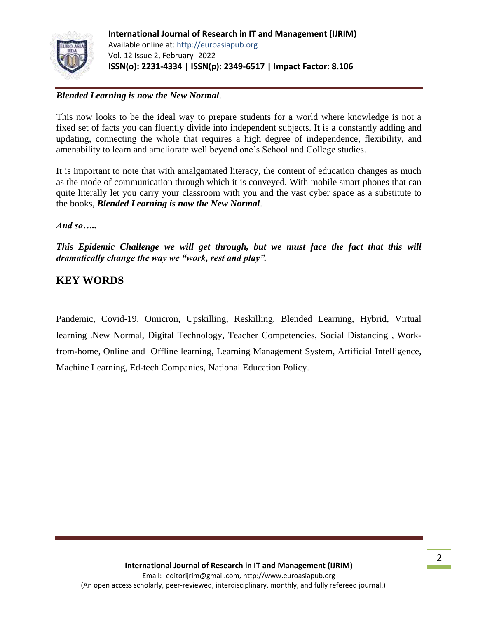

# *Blended Learning is now the New Normal*.

This now looks to be the ideal way to prepare students for a world where knowledge is not a fixed set of facts you can fluently divide into independent subjects. It is a constantly adding and updating, connecting the whole that requires a high degree of independence, flexibility, and amenability to learn and ameliorate well beyond one"s School and College studies.

It is important to note that with amalgamated literacy, the content of education changes as much as the mode of communication through which it is conveyed. With mobile smart phones that can quite literally let you carry your classroom with you and the vast cyber space as a substitute to the books, *Blended Learning is now the New Normal*.

*And so…..*

*This Epidemic Challenge we will get through, but we must face the fact that this will dramatically change the way we "work, rest and play".*

# **KEY WORDS**

Pandemic, Covid-19, Omicron, Upskilling, Reskilling, Blended Learning, Hybrid, Virtual learning ,New Normal, Digital Technology, Teacher Competencies, Social Distancing , Workfrom-home, Online and Offline learning, Learning Management System, Artificial Intelligence, Machine Learning, Ed-tech Companies, National Education Policy.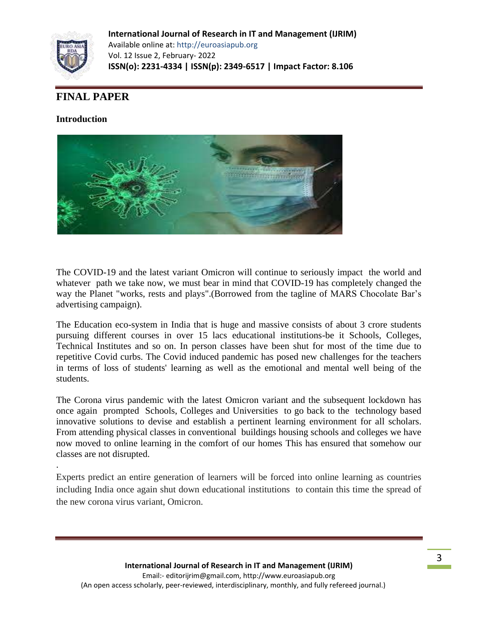

# **FINAL PAPER**

## **Introduction**

.



The COVID-19 and the latest variant Omicron will continue to seriously impact the world and whatever path we take now, we must bear in mind that COVID-19 has completely changed the way the Planet "works, rests and plays". (Borrowed from the tagline of MARS Chocolate Bar's advertising campaign).

The Education eco-system in India that is huge and massive consists of about 3 crore students pursuing different courses in over 15 lacs educational institutions-be it Schools, Colleges, Technical Institutes and so on. In person classes have been shut for most of the time due to repetitive Covid curbs. The Covid induced pandemic has posed new challenges for the teachers in terms of loss of students' learning as well as the emotional and mental well being of the students.

The Corona virus pandemic with the latest Omicron variant and the subsequent lockdown has once again prompted Schools, Colleges and Universities to go back to the technology based innovative solutions to devise and establish a pertinent learning environment for all scholars. From attending physical classes in conventional buildings housing schools and colleges we have now moved to online learning in the comfort of our homes This has ensured that somehow our classes are not disrupted.

Experts predict an entire generation of learners will be forced into online learning as countries including India once again shut down educational institutions to contain this time the spread of the new corona virus variant, Omicron.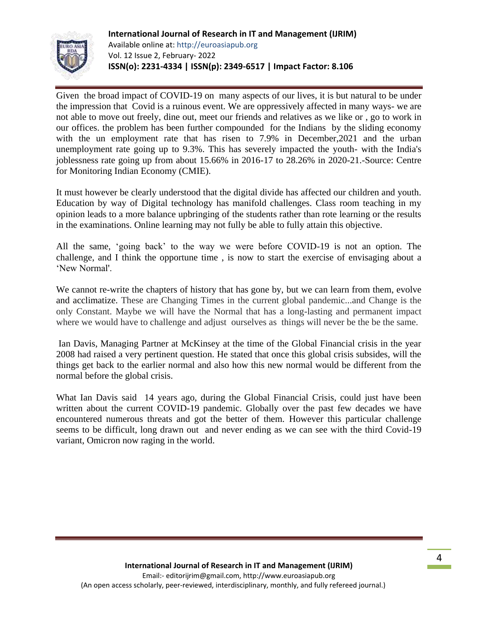

Given the broad impact of COVID-19 on many aspects of our lives, it is but natural to be under the impression that Covid is a ruinous event. We are oppressively affected in many ways- we are not able to move out freely, dine out, meet our friends and relatives as we like or , go to work in our offices. the problem has been further compounded for the Indians by the sliding economy with the un employment rate that has risen to 7.9% in December,2021 and the urban unemployment rate going up to 9.3%. This has severely impacted the youth- with the India's joblessness rate going up from about 15.66% in 2016-17 to 28.26% in 2020-21.-Source: Centre for Monitoring Indian Economy (CMIE).

It must however be clearly understood that the digital divide has affected our children and youth. Education by way of Digital technology has manifold challenges. Class room teaching in my opinion leads to a more balance upbringing of the students rather than rote learning or the results in the examinations. Online learning may not fully be able to fully attain this objective.

All the same, "going back" to the way we were before COVID-19 is not an option. The challenge, and I think the opportune time , is now to start the exercise of envisaging about a "New Normal'.

We cannot re-write the chapters of history that has gone by, but we can learn from them, evolve and acclimatize. These are Changing Times in the current global pandemic...and Change is the only Constant. Maybe we will have the Normal that has a long-lasting and permanent impact where we would have to challenge and adjust ourselves as things will never be the be the same.

Ian Davis, Managing Partner at McKinsey at the time of the Global Financial crisis in the year 2008 had raised a very pertinent question. He stated that once this global crisis subsides, will the things get back to the earlier normal and also how this new normal would be different from the normal before the global crisis.

What Ian Davis said 14 years ago, during the Global Financial Crisis, could just have been written about the current COVID-19 pandemic. Globally over the past few decades we have encountered numerous threats and got the better of them. However this particular challenge seems to be difficult, long drawn out and never ending as we can see with the third Covid-19 variant, Omicron now raging in the world.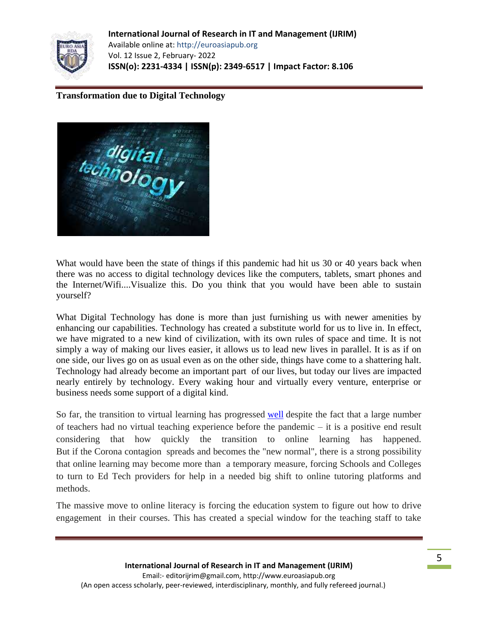

**Transformation due to Digital Technology**



What would have been the state of things if this pandemic had hit us 30 or 40 years back when there was no access to digital technology devices like the computers, tablets, smart phones and the Internet/Wifi....Visualize this. Do you think that you would have been able to sustain yourself?

What Digital Technology has done is more than just furnishing us with newer amenities by enhancing our capabilities. Technology has created a substitute world for us to live in. In effect, we have migrated to a new kind of civilization, with its own rules of space and time. It is not simply a way of making our lives easier, it allows us to lead new lives in parallel. It is as if on one side, our lives go on as usual even as on the other side, things have come to a shattering halt. Technology had already become an important part of our lives, but today our lives are impacted nearly entirely by technology. Every waking hour and virtually every venture, enterprise or business needs some support of a digital kind.

So far, the transition to virtual learning has progressed [well](https://www.insidehighered.com/news/2020/02/25/coronavirus-forces-us-universities-online-china) despite the fact that a large number of teachers had no virtual teaching experience before the pandemic – it is a positive end result considering that how quickly the transition to online learning has happened[.](https://www.topmba.com/jobs/career-trends/why-coronavirus-will-cause-edtech-boom#_msocom_1) But if the Corona contagion spreads and becomes the "new normal", there is a strong possibility that online learning may become more than a temporary measure, forcing Schools and Colleges to turn to Ed Tech providers for help in a needed big shift to online tutoring platforms and methods.

The massive move to online literacy is forcing the education system to figure out how to drive engagement in their courses. This has created a special window for the teaching staff to take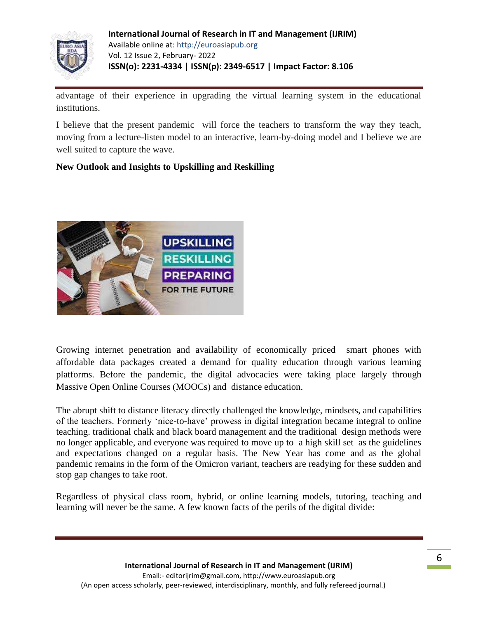

advantage of their experience in upgrading the virtual learning system in the educational institutions.

I believe that the present pandemic will force the teachers to transform the way they teach, moving from a lecture-listen model to an interactive, learn-by-doing model and I believe we are well suited to capture the wave.

# **New Outlook and Insights to Upskilling and Reskilling**



Growing internet penetration and availability of economically priced smart phones with affordable data packages created a demand for quality education through various learning platforms. Before the pandemic, the digital advocacies were taking place largely through Massive Open Online Courses (MOOCs) and distance education.

The abrupt shift to distance literacy directly challenged the knowledge, mindsets, and capabilities of the teachers. Formerly "nice-to-have" prowess in digital integration became integral to online teaching. traditional chalk and black board management and the traditional design methods were no longer applicable, and everyone was required to move up to a high skill set as the guidelines and expectations changed on a regular basis. The New Year has come and as the global pandemic remains in the form of the Omicron variant, teachers are readying for these sudden and stop gap changes to take root.

Regardless of physical class room, hybrid, or online learning models, tutoring, teaching and learning will never be the same. A few known facts of the perils of the digital divide: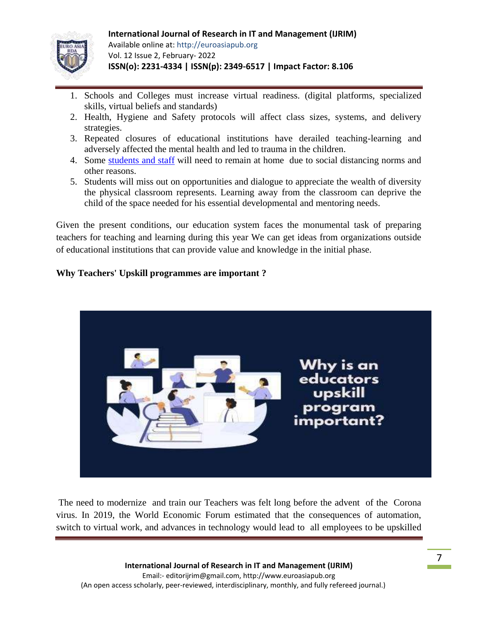

- 1. Schools and Colleges must increase virtual readiness. (digital platforms, specialized skills, virtual beliefs and standards)
- 2. Health, Hygiene and Safety protocols will affect class sizes, systems, and delivery strategies.
- 3. Repeated closures of educational institutions have derailed teaching-learning and adversely affected the mental health and led to trauma in the children.
- 4. Some [students and staff](https://www.usatoday.com/story/news/education/2020/05/26/coronavirus-schools-teachers-poll-ipsos-parents-fall-online/5254729002/) will need to remain at home due to social distancing norms and other reasons.
- 5. Students will miss out on opportunities and dialogue to appreciate the wealth of diversity the physical classroom represents. Learning away from the classroom can deprive the child of the space needed for his essential developmental and mentoring needs.

Given the present conditions, our education system faces the monumental task of preparing teachers for teaching and learning during this year We can get ideas from organizations outside of educational institutions that can provide value and knowledge in the initial phase.

# **Why Teachers' Upskill programmes are important ?**



The need to modernize and train our Teachers was felt long before the advent of the Corona virus. In 2019, the World Economic Forum estimated that the consequences of automation, switch to virtual work, and advances in technology would lead to all employees to be upskilled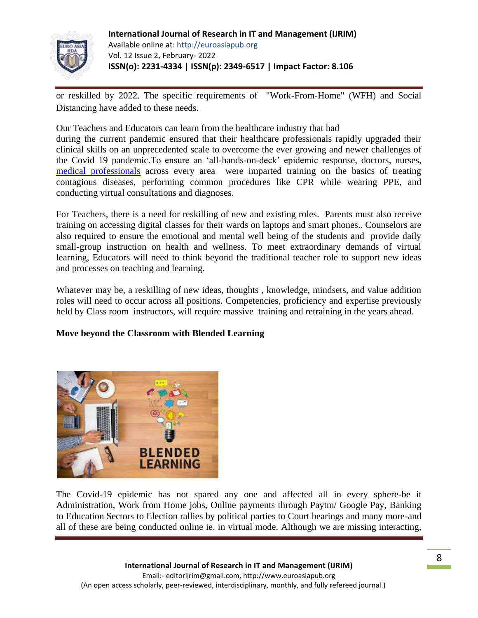

or reskilled by 2022. The specific requirements of "Work-From-Home" (WFH) and Social Distancing have added to these needs.

Our Teachers and Educators can learn from the healthcare industry that had

during the current pandemic ensured that their healthcare professionals rapidly upgraded their clinical skills on an unprecedented scale to overcome the ever growing and newer challenges of the Covid 19 pandemic.To ensure an "all-hands-on-deck" epidemic response, doctors, nurses, [medical professionals](https://www.cnn.com/2020/04/21/tech/vr-training-coronavirus/index.html) across every area were imparted training on the basics of treating contagious diseases, performing common procedures like CPR while wearing PPE, and conducting virtual consultations and diagnoses.

For Teachers, there is a need for reskilling of new and existing roles. Parents must also receive training on accessing digital classes for their wards on laptops and smart phones.. Counselors are also required to ensure the emotional and mental well being of the students and provide daily small-group instruction on health and wellness. To meet extraordinary demands of virtual learning, Educators will need to think beyond the traditional teacher role to support new ideas and processes on teaching and learning.

Whatever may be, a reskilling of new ideas, thoughts , knowledge, mindsets, and value addition roles will need to occur across all positions. Competencies, proficiency and expertise previously held by Class room instructors, will require massive training and retraining in the years ahead.

### **Move beyond the Classroom with Blended Learning**



The Covid-19 epidemic has not spared any one and affected all in every sphere-be it Administration, Work from Home jobs, Online payments through Paytm/ Google Pay, Banking to Education Sectors to Election rallies by political parties to Court hearings and many more-and all of these are being conducted online ie. in virtual mode. Although we are missing interacting,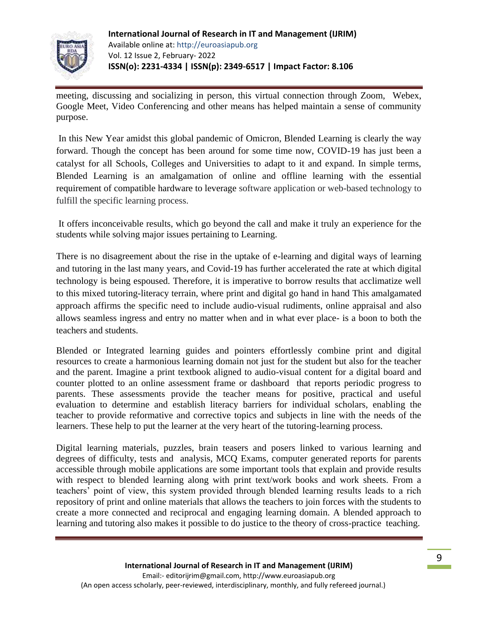

meeting, discussing and socializing in person, this virtual connection through Zoom, Webex, Google Meet, Video Conferencing and other means has helped maintain a sense of community purpose.

In this New Year amidst this global pandemic of Omicron, Blended Learning is clearly the way forward. Though the concept has been around for some time now, COVID-19 has just been a catalyst for all Schools, Colleges and Universities to adapt to it and expand. In simple terms, Blended Learning is an amalgamation of online and offline learning with the essential requirement of compatible hardware to leverage software application or web-based technology to fulfill the specific learning process.

It offers inconceivable results, which go beyond the call and make it truly an experience for the students while solving major issues pertaining to Learning.

There is no disagreement about the rise in the uptake of e-learning and digital ways of learning and tutoring in the last many years, and Covid-19 has further accelerated the rate at which digital technology is being espoused. Therefore, it is imperative to borrow results that acclimatize well to this mixed tutoring-literacy terrain, where print and digital go hand in hand This amalgamated approach affirms the specific need to include audio-visual rudiments, online appraisal and also allows seamless ingress and entry no matter when and in what ever place- is a boon to both the teachers and students.

Blended or Integrated learning guides and pointers effortlessly combine print and digital resources to create a harmonious learning domain not just for the student but also for the teacher and the parent. Imagine a print textbook aligned to audio-visual content for a digital board and counter plotted to an online assessment frame or dashboard that reports periodic progress to parents. These assessments provide the teacher means for positive, practical and useful evaluation to determine and establish literacy barriers for individual scholars, enabling the teacher to provide reformative and corrective topics and subjects in line with the needs of the learners. These help to put the learner at the very heart of the tutoring-learning process.

Digital learning materials, puzzles, brain teasers and posers linked to various learning and degrees of difficulty, tests and analysis, MCQ Exams, computer generated reports for parents accessible through mobile applications are some important tools that explain and provide results with respect to blended learning along with print text/work books and work sheets. From a teachers" point of view, this system provided through blended learning results leads to a rich repository of print and online materials that allows the teachers to join forces with the students to create a more connected and reciprocal and engaging learning domain. A blended approach to learning and tutoring also makes it possible to do justice to the theory of cross-practice teaching.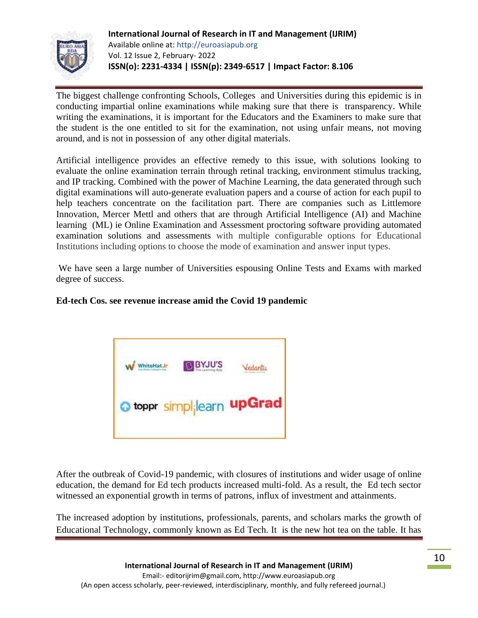

The biggest challenge confronting Schools, Colleges and Universities during this epidemic is in conducting impartial online examinations while making sure that there is transparency. While writing the examinations, it is important for the Educators and the Examiners to make sure that the student is the one entitled to sit for the examination, not using unfair means, not moving around, and is not in possession of any other digital materials.

Artificial intelligence provides an effective remedy to this issue, with solutions looking to evaluate the online examination terrain through retinal tracking, environment stimulus tracking, and IP tracking. Combined with the power of Machine Learning, the data generated through such digital examinations will auto-generate evaluation papers and a course of action for each pupil to help teachers concentrate on the facilitation part. There are companies such as Littlemore Innovation, Mercer Mettl and others that are through Artificial Intelligence (AI) and Machine learning (ML) ie Online Examination and Assessment proctoring software providing automated examination solutions and assessments with multiple configurable options for Educational Institutions including options to choose the mode of examination and answer input types.

We have seen a large number of Universities espousing Online Tests and Exams with marked degree of success.

### **Ed-tech Cos. see revenue increase amid the Covid 19 pandemic**



After the outbreak of Covid-19 pandemic, with closures of institutions and wider usage of online education, the demand for Ed tech products increased multi-fold. As a result, the Ed tech sector witnessed an exponential growth in terms of patrons, influx of investment and attainments.

The increased adoption by institutions, professionals, parents, and scholars marks the growth of Educational Technology, commonly known as Ed Tech. It is the new hot tea on the table. It has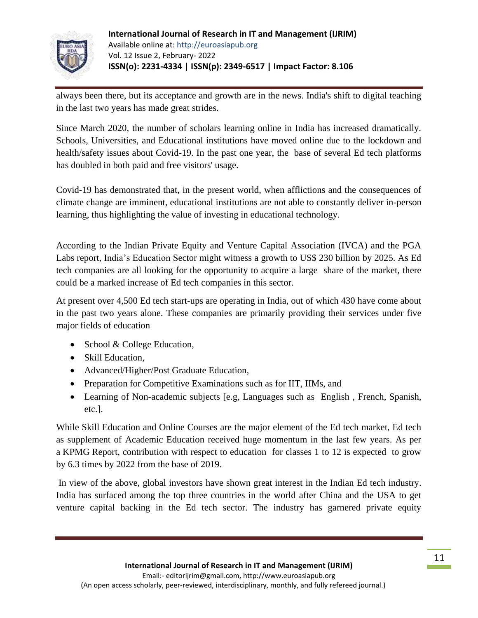

always been there, but its acceptance and growth are in the news. India's shift to digital teaching in the last two years has made great strides.

Since March 2020, the number of scholars learning online in India has increased dramatically. Schools, Universities, and Educational institutions have moved online due to the lockdown and health/safety issues about Covid-19. In the past one year, the base of several Ed tech platforms has doubled in both paid and free visitors' usage.

Covid-19 has demonstrated that, in the present world, when afflictions and the consequences of climate change are imminent, educational institutions are not able to constantly deliver in-person learning, thus highlighting the value of investing in educational technology.

According to the Indian Private Equity and Venture Capital Association (IVCA) and the PGA Labs [report,](https://ivca.in/wp-content/uploads/2020/12/PGA-Labs-The-Great-Edtech-Un-Lockdown.pdf) India"s Education Sector might witness a growth to US\$ 230 billion by 2025. As Ed tech companies are all looking for the opportunity to acquire a large share of the market, there could be a marked increase of Ed tech companies in this sector.

At present over 4,500 Ed tech start-ups are operating in India, out of which 430 have come about in the past two years alone. These companies are primarily providing their services under five major fields of education

- School & College Education,
- Skill Education,
- Advanced/Higher/Post Graduate Education,
- Preparation for Competitive Examinations such as for IIT, IIMs, and
- Learning of Non-academic subjects [e.g, Languages such as English , French, Spanish, etc.].

While Skill Education and Online Courses are the major element of the Ed tech market, Ed tech as supplement of Academic Education received huge momentum in the last few years. As per a [KPMG](https://assets.kpmg/content/dam/kpmg/in/pdf/2017/05/Online-Education-in-India-2021.pdf) Report, contribution with respect to education for classes 1 to 12 is expected to grow by 6.3 times by 2022 from the base of 2019.

In view of the above, global investors have shown great interest in the Indian Ed tech industry. India has surfaced among the top three countries in the world after China and the USA to get venture capital backing in the Ed tech sector. The industry has garnered private equity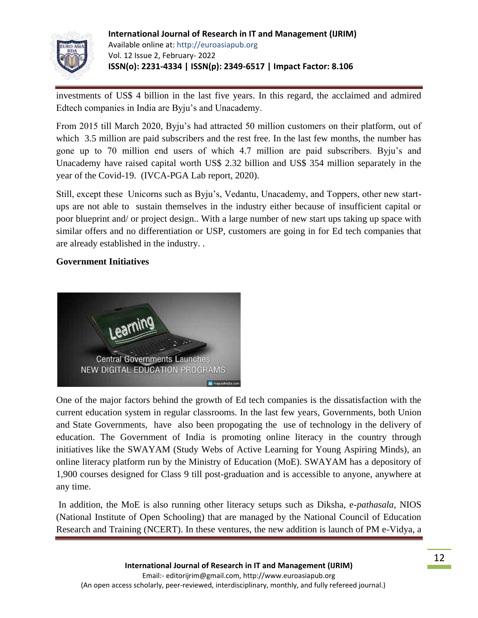

investments of US\$ 4 billion in the last five years. In this regard, the acclaimed and admired Edtech companies in India are Byju"s and Unacademy.

From 2015 till March 2020, Byju"s had attracted 50 million customers on their platform, out of which 3.5 million are paid subscribers and the rest free. In the last few months, the number has gone up to 70 million end users of which 4.7 million are paid subscribers. Byju"s and Unacademy have raised capital worth US\$ 2.32 billion and US\$ 354 million separately in the year of the Covid-19. (IVCA-PGA Lab report, 2020).

Still, except these Unicorns such as Byju"s, Vedantu, Unacademy, and Toppers, other new startups are not able to sustain themselves in the industry either because of insufficient capital or poor blueprint and/ or project design.. With a large number of new start ups taking up space with similar offers and no differentiation or USP, customers are going in for Ed tech companies that are already established in the industry. .

### **Government Initiatives**



One of the major factors behind the growth of Ed tech companies is the dissatisfaction with the current education system in regular classrooms. In the last few years, Governments, both Union and State Governments, have also been propogating the use of technology in the delivery of education. The Government of India is promoting online literacy in the country through initiatives like the SWAYAM (Study Webs of Active Learning for Young Aspiring Minds), an online literacy platform run by the Ministry of Education (MoE). SWAYAM has a depository of 1,900 courses designed for Class 9 till post-graduation and is accessible to anyone, anywhere at any time.

In addition, the MoE is also running other literacy setups such as Diksha, e-*pathasala*, NIOS (National Institute of Open Schooling) that are managed by the National Council of Education Research and Training (NCERT). In these ventures, the new addition is launch of PM e-Vidya, a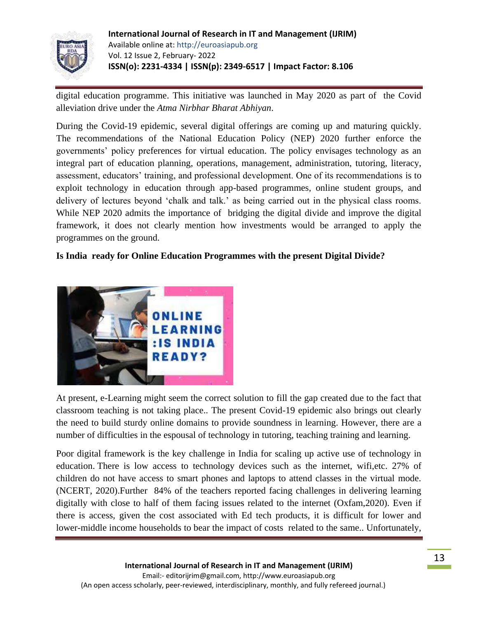

digital education programme. This initiative was launched in May 2020 as part of the Covid alleviation drive under the *Atma Nirbhar Bharat Abhiyan*.

During the Covid-19 epidemic, several digital offerings are coming up and maturing quickly. The recommendations of the National Education Policy (NEP) 2020 further enforce the governments" policy preferences for virtual education. The policy envisages technology as an integral part of education planning, operations, management, administration, tutoring, literacy, assessment, educators' training, and professional development. One of its recommendations is to exploit technology in education through app-based programmes, online student groups, and delivery of lectures beyond "chalk and talk." as being carried out in the physical class rooms. While NEP 2020 admits the importance of bridging the digital divide and improve the digital framework, it does not clearly mention how investments would be arranged to apply the programmes on the ground.

# **Is India ready for Online Education Programmes with the present Digital Divide?**



At present, e-Learning might seem the correct solution to fill the gap created due to the fact that classroom teaching is not taking place.. The present Covid-19 epidemic also brings out clearly the need to build sturdy online domains to provide soundness in learning. However, there are a number of difficulties in the espousal of technology in tutoring, teaching training and learning.

Poor digital framework is the key challenge in India for scaling up active use of technology in education. There is low access to technology devices such as the internet, wifi,etc. 27% of children do not have access to smart phones and laptops to attend classes in the virtual mode. (NCERT, 2020).Further 84% of the teachers reported facing challenges in delivering learning digitally with close to half of them facing issues related to the internet (Oxfam,2020). Even if there is access, given the cost associated with Ed tech products, it is difficult for lower and lower-middle income households to bear the impact of costs related to the same.. Unfortunately,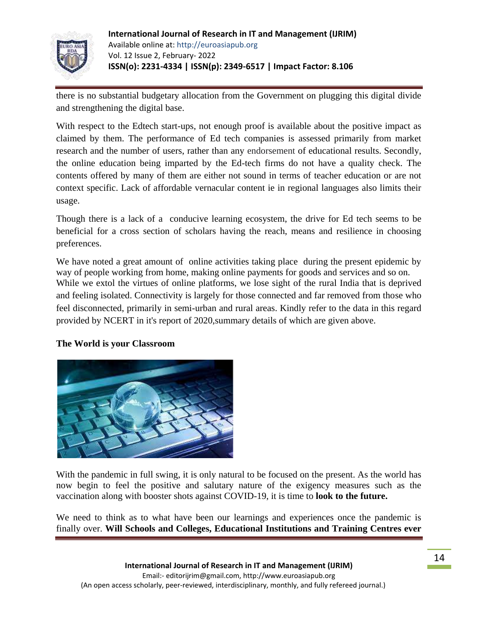

there is no substantial budgetary allocation from the Government on plugging this digital divide and strengthening the digital base.

With respect to the Edtech start-ups, not enough proof is available about the positive impact as claimed by them. The performance of Ed tech companies is assessed primarily from market research and the number of users, rather than any endorsement of educational results. Secondly, the online education being imparted by the Ed-tech firms do not have a quality check. The contents offered by many of them are either not sound in terms of teacher education or are not context specific. Lack of affordable vernacular content ie in regional languages also limits their usage.

Though there is a lack of a conducive learning ecosystem, the drive for Ed tech seems to be beneficial for a cross section of scholars having the reach, means and resilience in choosing preferences.

We have noted a great amount of online activities taking place during the present epidemic by way of people working from home, making online payments for goods and services and so on. While we extol the virtues of online platforms, we lose sight of the rural India that is deprived and feeling isolated. Connectivity is largely for those connected and far removed from those who feel disconnected, primarily in semi-urban and rural areas. Kindly refer to the data in this regard provided by NCERT in it's report of 2020,summary details of which are given above.

### **The World is your Classroom**



With the pandemic in full swing, it is only natural to be focused on the present. As the world has now begin to feel the positive and salutary nature of the exigency measures such as the vaccination along with booster shots against COVID-19, it is time to **look to the future.**

We need to think as to what have been our learnings and experiences once the pandemic is finally over. **Will Schools and Colleges, Educational Institutions and Training Centres ever**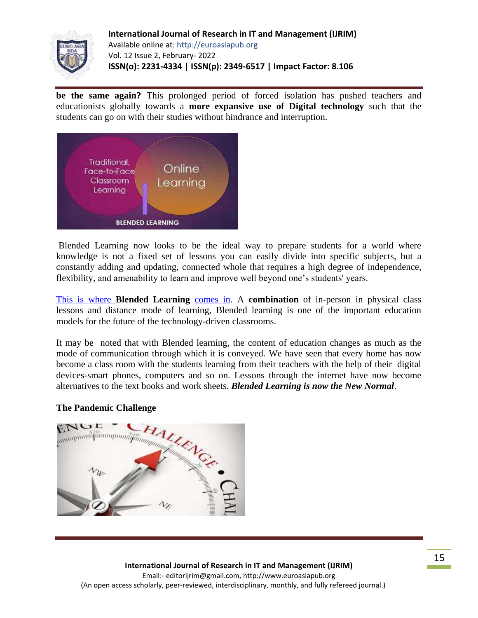

**be the same again?** This prolonged period of forced isolation has pushed teachers and educationists globally towards a **more expansive use of Digital technology** such that the students can go on with their studies without hindrance and interruption.



Blended Learning now looks to be the ideal way to prepare students for a world where knowledge is not a fixed set of lessons you can easily divide into specific subjects, but a constantly adding and updating, connected whole that requires a high degree of independence, flexibility, and amenability to learn and improve well beyond one's students' years.

This is where **[Blended Learning](https://acerforeducation.acer.com/education-trends/the-blended-learning-approach-how-it-works/)** comes in. A **combination** of in-person in physical class lessons and distance mode of learning, Blended learning is one of the important education models for the future of the technology-driven classrooms.

It may be noted that with Blended learning, the content of education changes as much as the mode of communication through which it is conveyed. We have seen that every home has now become a class room with the students learning from their teachers with the help of their digital devices-smart phones, computers and so on. Lessons through the internet have now become alternatives to the text books and work sheets. *Blended Learning is now the New Normal*.

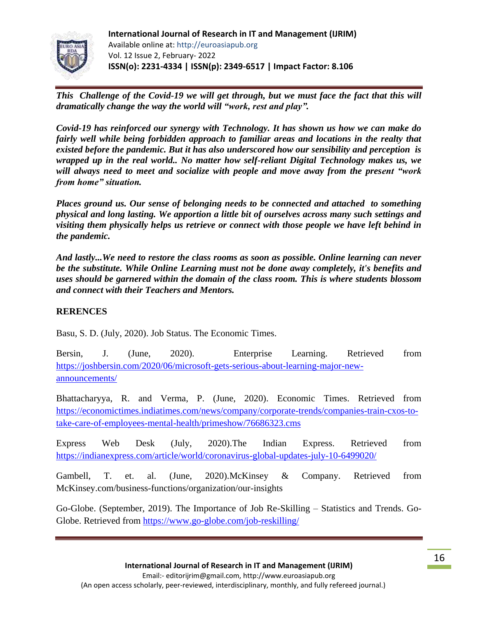

*This Challenge of the Covid-19 we will get through, but we must face the fact that this will dramatically change the way the world will "work, rest and play".*

*Covid-19 has reinforced our synergy with Technology. It has shown us how we can make do fairly well while being forbidden approach to familiar areas and locations in the realty that existed before the pandemic. But it has also underscored how our sensibility and perception is wrapped up in the real world.. No matter how self-reliant Digital Technology makes us, we will always need to meet and socialize with people and move away from the present "work from home" situation.*

*Places ground us. Our sense of belonging needs to be connected and attached to something physical and long lasting. We apportion a little bit of ourselves across many such settings and visiting them physically helps us retrieve or connect with those people we have left behind in the pandemic.*

*And lastly...We need to restore the class rooms as soon as possible. Online learning can never be the substitute. While Online Learning must not be done away completely, it's benefits and uses should be garnered within the domain of the class room. This is where students blossom and connect with their Teachers and Mentors.*

# **RERENCES**

Basu, S. D. (July, 2020). Job Status. The Economic Times.

Bersin, J. (June, 2020). Enterprise Learning. Retrieved from [https://joshbersin.com/2020/06/microsoft-gets-serious-about-learning-major-new](https://joshbersin.com/2020/06/microsoft-gets-serious-about-learning-major-new-announcements/)[announcements/](https://joshbersin.com/2020/06/microsoft-gets-serious-about-learning-major-new-announcements/)

Bhattacharyya, R. and Verma, P. (June, 2020). Economic Times. Retrieved from [https://economictimes.indiatimes.com/news/company/corporate-trends/companies-train-cxos-to](https://economictimes.indiatimes.com/news/company/corporate-trends/companies-train-cxos-to-take-care-of-employees-mental-health/primeshow/76686323.cms)[take-care-of-employees-mental-health/primeshow/76686323.cms](https://economictimes.indiatimes.com/news/company/corporate-trends/companies-train-cxos-to-take-care-of-employees-mental-health/primeshow/76686323.cms)

Express Web Desk (July, 2020).The Indian Express. Retrieved from <https://indianexpress.com/article/world/coronavirus-global-updates-july-10-6499020/>

Gambell, T. et. al. (June, 2020).McKinsey & Company. Retrieved from McKinsey.com/business-functions/organization/our-insights

Go-Globe. (September, 2019). The Importance of Job Re-Skilling – Statistics and Trends. Go-Globe. Retrieved from<https://www.go-globe.com/job-reskilling/>